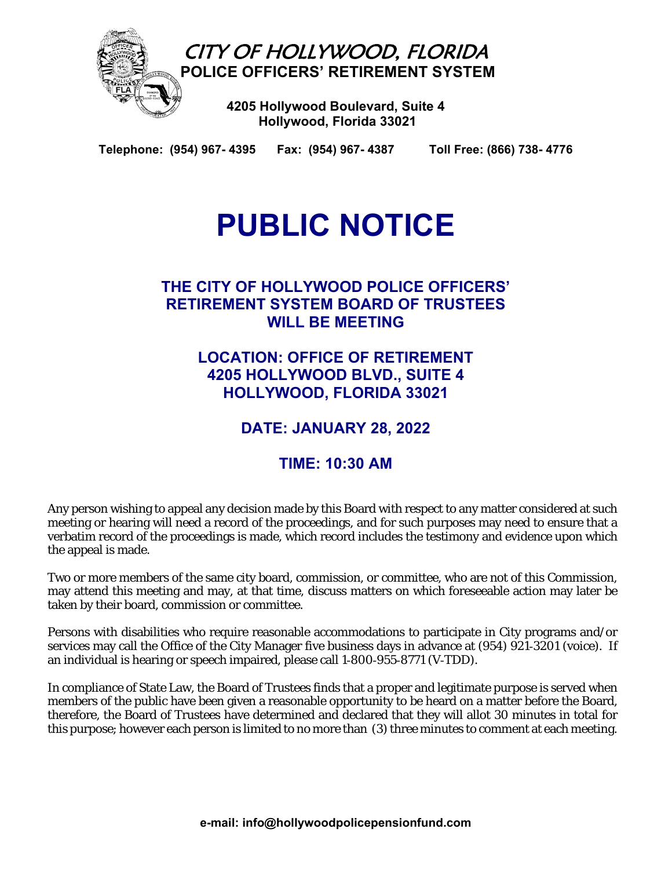

 **Hollywood, Florida 33021**

**Telephone: (954) 967- 4395 Fax: (954) 967- 4387 Toll Free: (866) 738- 4776** 

# **PUBLIC NOTICE**

## **THE CITY OF HOLLYWOOD POLICE OFFICERS' RETIREMENT SYSTEM BOARD OF TRUSTEES WILL BE MEETING**

**LOCATION: OFFICE OF RETIREMENT 4205 HOLLYWOOD BLVD., SUITE 4 HOLLYWOOD, FLORIDA 33021** 

**DATE: JANUARY 28, 2022** 

## **TIME: 10:30 AM**

Any person wishing to appeal any decision made by this Board with respect to any matter considered at such meeting or hearing will need a record of the proceedings, and for such purposes may need to ensure that a verbatim record of the proceedings is made, which record includes the testimony and evidence upon which the appeal is made.

Two or more members of the same city board, commission, or committee, who are not of this Commission, may attend this meeting and may, at that time, discuss matters on which foreseeable action may later be taken by their board, commission or committee.

Persons with disabilities who require reasonable accommodations to participate in City programs and/or services may call the Office of the City Manager five business days in advance at (954) 921-3201 (voice). If an individual is hearing or speech impaired, please call 1‑800‑955‑8771 (V‑TDD).

In compliance of State Law, the Board of Trustees finds that a proper and legitimate purpose is served when members of the public have been given a reasonable opportunity to be heard on a matter before the Board, therefore, the Board of Trustees have determined and declared that they will allot 30 minutes in total for this purpose; however each person is limited to no more than (3) three minutes to comment at each meeting.